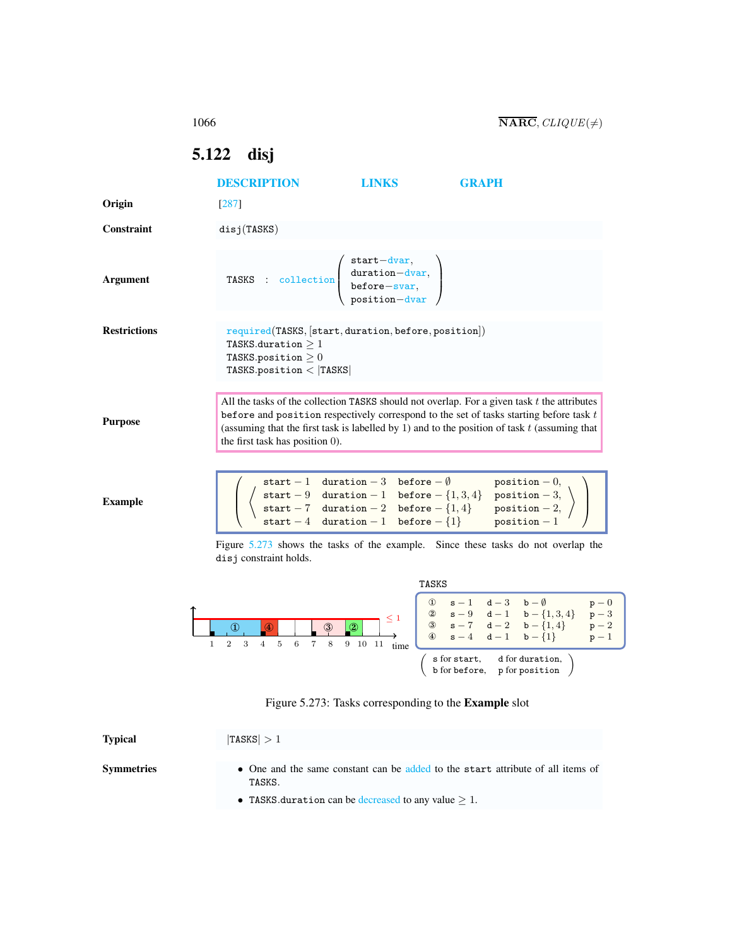## <span id="page-0-0"></span>5.122 disj

|                     | <b>DESCRIPTION</b>                                                                                                                                                          | <b>LINKS</b> | <b>GRAPH</b>                                                                                                                                                                                                                                                                                                                                                 |
|---------------------|-----------------------------------------------------------------------------------------------------------------------------------------------------------------------------|--------------|--------------------------------------------------------------------------------------------------------------------------------------------------------------------------------------------------------------------------------------------------------------------------------------------------------------------------------------------------------------|
| Origin              | $[287]$                                                                                                                                                                     |              |                                                                                                                                                                                                                                                                                                                                                              |
| Constraint          | disj(TASKS)                                                                                                                                                                 |              |                                                                                                                                                                                                                                                                                                                                                              |
| <b>Argument</b>     | TASKS : collection $\left(\begin{array}{c} \text{start}-\text{dvar},\\ \text{duration}-\text{dvar},\\ \text{before-svar},\\ \text{position}-\text{dvar} \end{array}\right)$ |              |                                                                                                                                                                                                                                                                                                                                                              |
| <b>Restrictions</b> | required(TASKS, start, duration, before, position))<br>TASKS.duration $\geq 1$<br>TASKS.position $\geq 0$<br>TASKS.position $<$  TASKS                                      |              |                                                                                                                                                                                                                                                                                                                                                              |
| <b>Purpose</b>      | the first task has position 0).                                                                                                                                             |              | All the tasks of the collection TASKS should not overlap. For a given task $t$ the attributes<br>before and position respectively correspond to the set of tasks starting before task $t$<br>(assuming that the first task is labelled by 1) and to the position of task $t$ (assuming that                                                                  |
| <b>Example</b>      |                                                                                                                                                                             |              | $\begin{tabular}{ll} start-1 & duration-3 & before- \emptyset & position-0, \\ start-9 & duration-1 & before- \{1,3,4\} & position-3, \\ start-7 & duration-2 & before- \{1,4\} & position-2, \\ start-4 & duration-1 & before- \{1\} & position-1 \end{tabular}$                                                                                            |
|                     | disj constraint holds.                                                                                                                                                      |              | Figure 5.273 shows the tasks of the example. Since these tasks do not overlap the                                                                                                                                                                                                                                                                            |
|                     |                                                                                                                                                                             | TASKS        |                                                                                                                                                                                                                                                                                                                                                              |
| $\mathbf{1}$        | $\overline{2}$<br>3<br>$\overline{4}$<br>5<br>$\,6\,$<br>$\overline{7}$<br>8                                                                                                | 9 10 11      | $\left[ \begin{array}{ccccc} \mathbb{O} & \mathbf{s}-1 & \mathbf{d}-3 & \mathbf{b}-\emptyset \\ \mathbb{Q} & \mathbf{s}-9 & \mathbf{d}-1 & \mathbf{b}-\{1,3,4\} \\ \mathbb{G} & \mathbf{s}-7 & \mathbf{d}-2 & \mathbf{b}-\{1,4\} \\ \mathbb{G} & \mathbf{s}-4 & \mathbf{d}-1 & \mathbf{b}-\{1\} \end{array} \right]$<br>$p - 0$<br>$p-3$<br>$p - 2$<br>$p-1$ |
|                     |                                                                                                                                                                             |              | s for start, d for duration,<br>b for before, p for position                                                                                                                                                                                                                                                                                                 |

<span id="page-0-1"></span>

| Figure 5.273: Tasks corresponding to the <b>Example</b> slot |  |  |
|--------------------------------------------------------------|--|--|
|                                                              |  |  |

| <b>Typical</b>    | $ {\rm TASKS}  > 1$                                                                       |
|-------------------|-------------------------------------------------------------------------------------------|
| <b>Symmetries</b> | • One and the same constant can be added to the start attribute of all items of<br>TASKS. |
|                   | • TASKS duration can be decreased to any value $> 1$ .                                    |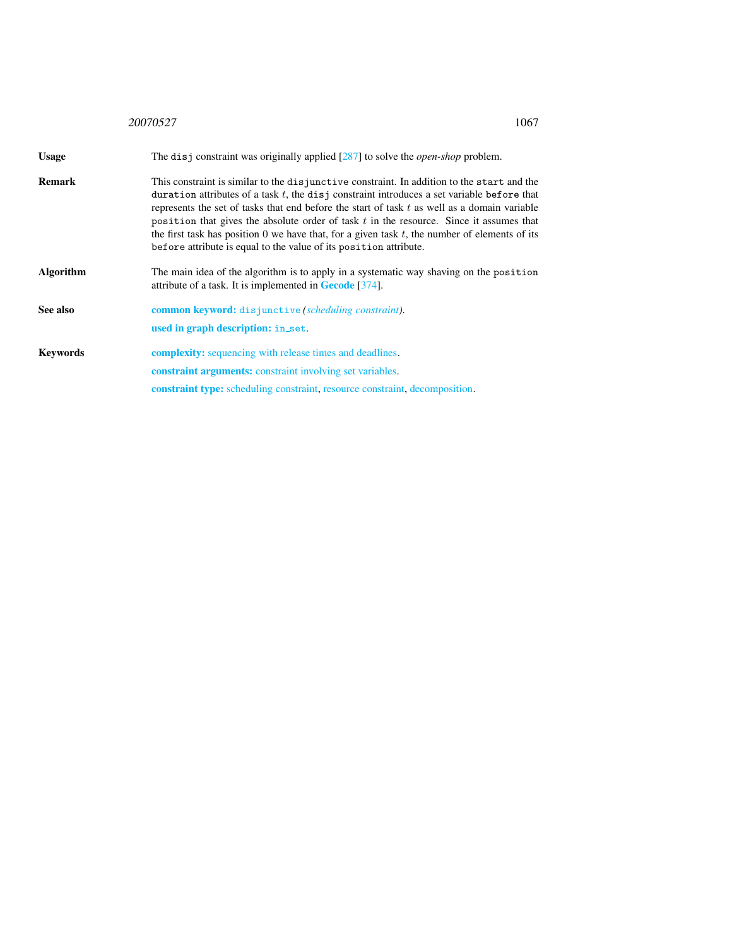<span id="page-1-0"></span>

|                  | 1067<br>20070527                                                                                                                                                                                                                                                                                                                                                                                                                                                                                                                                                    |
|------------------|---------------------------------------------------------------------------------------------------------------------------------------------------------------------------------------------------------------------------------------------------------------------------------------------------------------------------------------------------------------------------------------------------------------------------------------------------------------------------------------------------------------------------------------------------------------------|
| <b>Usage</b>     | The disj constraint was originally applied $[287]$ to solve the <i>open-shop</i> problem.                                                                                                                                                                                                                                                                                                                                                                                                                                                                           |
| <b>Remark</b>    | This constraint is similar to the disjunctive constraint. In addition to the start and the<br>duration attributes of a task $t$ , the disj constraint introduces a set variable before that<br>represents the set of tasks that end before the start of task $t$ as well as a domain variable<br>position that gives the absolute order of task $t$ in the resource. Since it assumes that<br>the first task has position 0 we have that, for a given task $t$ , the number of elements of its<br>before attribute is equal to the value of its position attribute. |
| <b>Algorithm</b> | The main idea of the algorithm is to apply in a systematic way shaving on the position<br>attribute of a task. It is implemented in <b>Gecode</b> [374].                                                                                                                                                                                                                                                                                                                                                                                                            |
| See also         | <b>common keyword:</b> disjunctive (scheduling constraint).<br>used in graph description: in_set.                                                                                                                                                                                                                                                                                                                                                                                                                                                                   |
| <b>Keywords</b>  | <b>complexity:</b> sequencing with release times and deadlines.                                                                                                                                                                                                                                                                                                                                                                                                                                                                                                     |
|                  | <b>constraint arguments:</b> constraint involving set variables.                                                                                                                                                                                                                                                                                                                                                                                                                                                                                                    |
|                  | <b>constraint type:</b> scheduling constraint, resource constraint, decomposition.                                                                                                                                                                                                                                                                                                                                                                                                                                                                                  |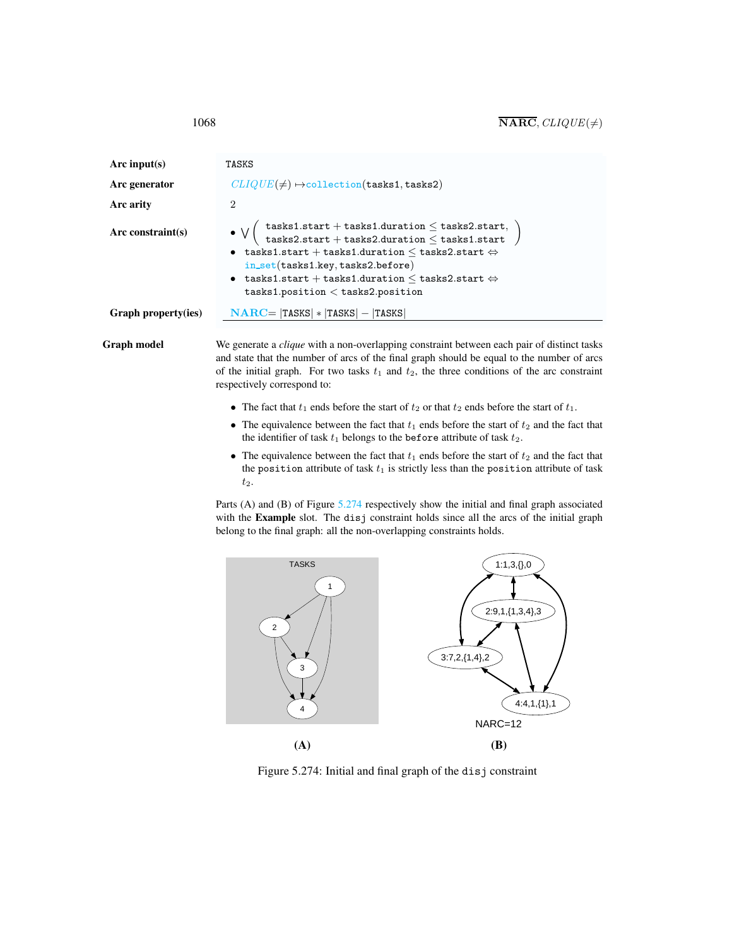| Arc input(s)<br>Arc generator<br>Arc arity | TASKS<br>$CLIQUE(\neq) \rightarrow collection(tasks1, tasks2)$<br>2                                                                                                                                                                                                                                                                                                                               |  |
|--------------------------------------------|---------------------------------------------------------------------------------------------------------------------------------------------------------------------------------------------------------------------------------------------------------------------------------------------------------------------------------------------------------------------------------------------------|--|
| Arc constraint $(s)$                       | $\left(\begin{array}{l} \texttt{tasks1.start} + \texttt{tasks1.duration} \leq \texttt{tasks2.start},\\ \texttt{tasks2.start} + \texttt{tasks2.duration} \leq \texttt{tasks1.start}\end{array}\right.$<br>• tasks1.start + tasks1.duration $\leq$ tasks2.start $\Leftrightarrow$<br>$in\_set(tasks1(key, tasks2.before)$<br>• tasks1.start + tasks1.duration $\leq$ tasks2.start $\Leftrightarrow$ |  |
| Graph property(ies)                        | tasks1. position < tasks2. position<br>$NARC =  TASKS  *  TASKS  -  TASKS $                                                                                                                                                                                                                                                                                                                       |  |

Graph model We generate a *clique* with a non-overlapping constraint between each pair of distinct tasks and state that the number of arcs of the final graph should be equal to the number of arcs of the initial graph. For two tasks  $t_1$  and  $t_2$ , the three conditions of the arc constraint respectively correspond to:

- The fact that  $t_1$  ends before the start of  $t_2$  or that  $t_2$  ends before the start of  $t_1$ .
- The equivalence between the fact that  $t_1$  ends before the start of  $t_2$  and the fact that the identifier of task  $t_1$  belongs to the before attribute of task  $t_2$ .
- The equivalence between the fact that  $t_1$  ends before the start of  $t_2$  and the fact that the position attribute of task  $t_1$  is strictly less than the position attribute of task t2.

Parts (A) and (B) of Figure [5.274](#page-2-1) respectively show the initial and final graph associated with the Example slot. The disj constraint holds since all the arcs of the initial graph belong to the final graph: all the non-overlapping constraints holds.



<span id="page-2-1"></span>Figure 5.274: Initial and final graph of the disj constraint

<span id="page-2-0"></span>